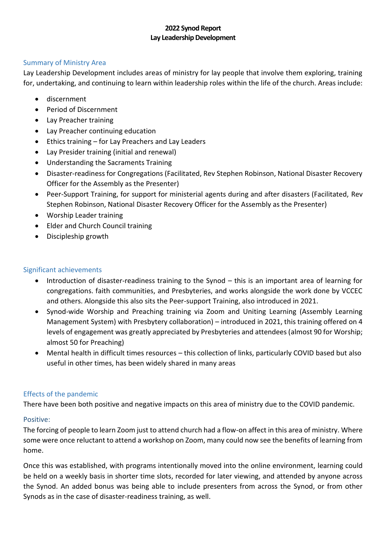## **2022 Synod Report Lay Leadership Development**

### Summary of Ministry Area

Lay Leadership Development includes areas of ministry for lay people that involve them exploring, training for, undertaking, and continuing to learn within leadership roles within the life of the church. Areas include:

- discernment
- Period of Discernment
- Lay Preacher training
- Lay Preacher continuing education
- Ethics training for Lay Preachers and Lay Leaders
- Lay Presider training (initial and renewal)
- Understanding the Sacraments Training
- Disaster-readiness for Congregations (Facilitated, Rev Stephen Robinson, National Disaster Recovery Officer for the Assembly as the Presenter)
- Peer-Support Training, for support for ministerial agents during and after disasters (Facilitated, Rev Stephen Robinson, National Disaster Recovery Officer for the Assembly as the Presenter)
- Worship Leader training
- Elder and Church Council training
- Discipleship growth

## Significant achievements

- Introduction of disaster-readiness training to the Synod this is an important area of learning for congregations. faith communities, and Presbyteries, and works alongside the work done by VCCEC and others. Alongside this also sits the Peer-support Training, also introduced in 2021.
- Synod-wide Worship and Preaching training via Zoom and Uniting Learning (Assembly Learning Management System) with Presbytery collaboration) – introduced in 2021, this training offered on 4 levels of engagement was greatly appreciated by Presbyteries and attendees (almost 90 for Worship; almost 50 for Preaching)
- Mental health in difficult times resources this collection of links, particularly COVID based but also useful in other times, has been widely shared in many areas

## Effects of the pandemic

There have been both positive and negative impacts on this area of ministry due to the COVID pandemic.

## Positive:

The forcing of people to learn Zoom just to attend church had a flow-on affect in this area of ministry. Where some were once reluctant to attend a workshop on Zoom, many could now see the benefits of learning from home.

Once this was established, with programs intentionally moved into the online environment, learning could be held on a weekly basis in shorter time slots, recorded for later viewing, and attended by anyone across the Synod. An added bonus was being able to include presenters from across the Synod, or from other Synods as in the case of disaster-readiness training, as well.